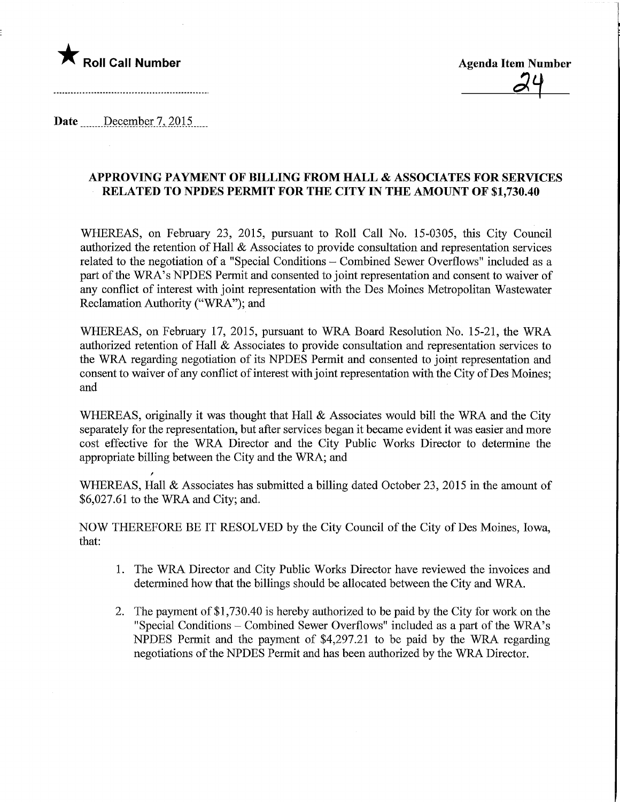

 $24$ 

Date <u>December 7, 2015</u>.

/

## APPROVING PAYMENT OF BILLING FROM HALL & ASSOCIATES FOR SERVICES RELATED TO NPDES PERMIT FOR THE CITY IN THE AMOUNT OF \$1,730.40

WHEREAS, on February 23, 2015, pursuant to Roll Call No. 15-0305, this City Council authorized the retention of Hall & Associates to provide consultation and representation services related to the negotiation of a "Special Conditions - Combined Sewer Overflows" included as a part of the WRA's NPDES Permit and consented to joint representation and consent to waiver of any conflict of interest with joint representation with the Des Moines Metropolitan Wastewater Reclamation Authority ("WRA"); and

WHEREAS, on February 17, 2015, pursuant to WRA Board Resolution No. 15-21, the WRA authorized retention of Hall & Associates to provide consultation and representation services to the WRA. regarding negotiation of its NPDES Permit and consented to joint representation and consent to waiver of any conflict of interest with joint representation with the City of Des Moines; and

WHEREAS, originally it was thought that Hall & Associates would bill the WRA and the City separately for the representation, but after services began it became evident it was easier and more cost effective for the WRA Director and the City Public Works Director to determine the appropriate billing between the City and the WRA; and

WHEREAS, Hall & Associates has submitted a billing dated October 23, 2015 in the amount of \$6,027.61 to the WRA and City; and.

NOW THEREFORE BE IT RESOLVED by the City Council of the City of Des Moines, Iowa, that:

- 1. The WRA Director and City Public Works Director have reviewed the invoices and determined how that the billings should be allocated between the City and WRA.
- 2. The payment of \$1,730.40 is hereby authorized to be paid by the City for work on the "Special Conditions - Combined Sewer Overflows" included as a part of the WRA's NPDES Permit and the payment of \$4,297.21 to be paid by the WRA regarding negotiations of the NPDES Permit and has been authorized by the WRA Director.